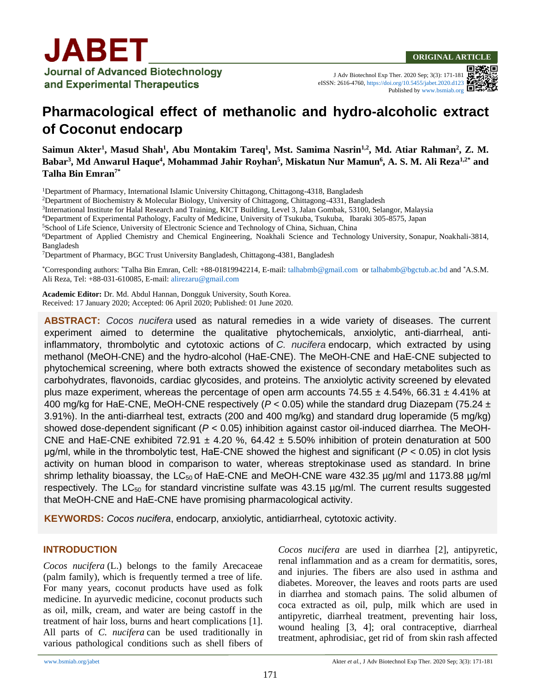J Adv Biotechnol Exp Ther. 2020 Sep; 3(3): 171-181 eISSN: 2616-4760[, https://doi.org/10.5455/jabet.2020.d123](https://doi.org/10.5455/jabet.2020.d123) Published b[y www.bsmiab.org](http://www.bsmiab.org/)

# **Pharmacological effect of methanolic and hydro-alcoholic extract of Coconut endocarp**

**Saimun Akter<sup>1</sup> , Masud Shah<sup>1</sup> , Abu Montakim Tareq<sup>1</sup> , Mst. Samima Nasrin1,2, Md. Atiar Rahman<sup>2</sup> , Z. M. Babar<sup>3</sup> , Md Anwarul Haque<sup>4</sup> , Mohammad Jahir Royhan<sup>5</sup> , Miskatun Nur Mamun<sup>6</sup> , A. S. M. Ali Reza1,2\* and Talha Bin Emran7\***

<sup>1</sup>Department of Pharmacy, International Islamic University Chittagong, Chittagong-4318, Bangladesh

<sup>2</sup>Department of Biochemistry & Molecular Biology, University of Chittagong, Chittagong-4331, Bangladesh

3 International Institute for Halal Research and Training, KICT Building, Level 3, Jalan Gombak, 53100, Selangor, Malaysia

<sup>4</sup>Department of Experimental Pathology, Faculty of Medicine, University of Tsukuba, Tsukuba, Ibaraki 305-8575, Japan

<sup>5</sup>School of Life Science, University of Electronic Science and Technology of China, Sichuan, China

<sup>6</sup>Department of Applied Chemistry and Chemical Engineering, Noakhali Science and Technology University, Sonapur, Noakhali-3814, Bangladesh

<sup>7</sup>Department of Pharmacy, BGC Trust University Bangladesh, Chittagong-4381, Bangladesh

\*Corresponding authors: \*Talha Bin Emran, Cell: +88-01819942214, E-mail[: talhabmb@gmail.com](mailto:talhabmb@gmail.com) o[r talhabmb@bgctub.ac.bd](mailto:talhabmb@bgctub.ac.bd) and \*A.S.M. Ali Reza, Tel: +88-031-610085, E-mail[: alirezaru@gmail.com](mailto:alirezaru@gmail.com)

**Academic Editor:** Dr. Md. Abdul Hannan, Dongguk University, South Korea. Received: 17 January 2020; Accepted: 06 April 2020; Published: 01 June 2020.

**ABSTRACT:** *Cocos nucifera* used as natural remedies in a wide variety of diseases. The current experiment aimed to determine the qualitative phytochemicals, anxiolytic, anti-diarrheal, antiinflammatory, thrombolytic and cytotoxic actions of *C. nucifera* endocarp, which extracted by using methanol (MeOH-CNE) and the hydro-alcohol (HaE-CNE). The MeOH-CNE and HaE-CNE subjected to phytochemical screening, where both extracts showed the existence of secondary metabolites such as carbohydrates, flavonoids, cardiac glycosides, and proteins. The anxiolytic activity screened by elevated plus maze experiment, whereas the percentage of open arm accounts 74.55  $\pm$  4.54%, 66.31  $\pm$  4.41% at 400 mg/kg for HaE-CNE, MeOH-CNE respectively (*P <* 0.05) while the standard drug Diazepam (75.24 ± 3.91%). In the anti-diarrheal test, extracts (200 and 400 mg/kg) and standard drug loperamide (5 mg/kg) showed dose-dependent significant (*P <* 0.05) inhibition against castor oil-induced diarrhea. The MeOH-CNE and HaE-CNE exhibited 72.91  $\pm$  4.20 %, 64.42  $\pm$  5.50% inhibition of protein denaturation at 500 μg/ml, while in the thrombolytic test, HaE-CNE showed the highest and significant (*P <* 0.05) in clot lysis activity on human blood in comparison to water, whereas streptokinase used as standard. In brine shrimp lethality bioassay, the  $LC_{50}$  of HaE-CNE and MeOH-CNE ware 432.35  $\mu$ g/ml and 1173.88  $\mu$ g/ml respectively. The LC<sub>50</sub> for standard vincristine sulfate was 43.15 µg/ml. The current results suggested that MeOH-CNE and HaE-CNE have promising pharmacological activity.

**KEYWORDS:** *Cocos nucifera*, endocarp, anxiolytic, antidiarrheal, cytotoxic activity.

## **INTRODUCTION**

*Cocos nucifera* (L.) belongs to the family Arecaceae (palm family), which is frequently termed a tree of life. For many years, coconut products have used as folk medicine. In ayurvedic medicine, coconut products such as oil, milk, cream, and water are being castoff in the treatment of hair loss, burns and heart complications [1]. All parts of *C. nucifera* can be used traditionally in various pathological conditions such as shell fibers of *Cocos nucifera* are used in diarrhea [2], antipyretic, renal inflammation and as a cream for dermatitis, sores, and injuries. The fibers are also used in asthma and diabetes. Moreover, the leaves and roots parts are used in diarrhea and stomach pains. The solid albumen of coca extracted as oil, pulp, milk which are used in antipyretic, diarrheal treatment, preventing hair loss, wound healing [3, 4]; oral contraceptive, diarrheal treatment, aphrodisiac, get rid of from skin rash affected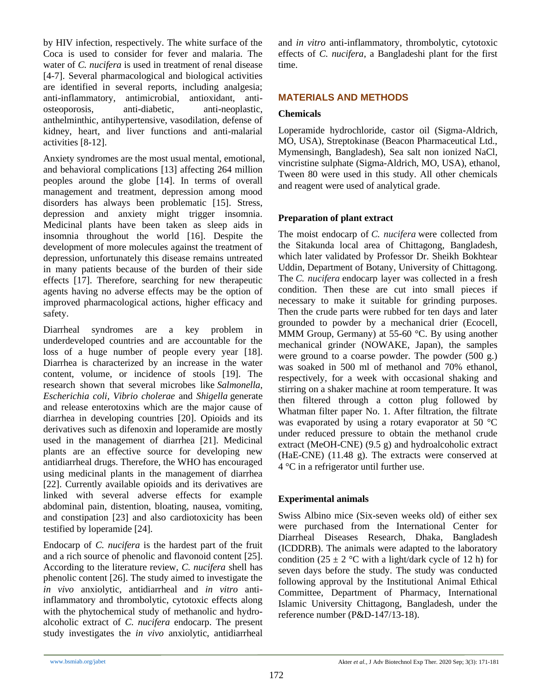by HIV infection, respectively. The white surface of the Coca is used to consider for fever and malaria. The water of *C. nucifera* is used in treatment of renal disease [4-7]. Several pharmacological and biological activities are identified in several reports, including analgesia; anti-inflammatory, antimicrobial, antioxidant, antiosteoporosis, anti-diabetic, anti-neoplastic, anthelminthic, antihypertensive, vasodilation, defense of kidney, heart, and liver functions and anti-malarial activities [8-12].

Anxiety syndromes are the most usual mental, emotional, and behavioral complications [13] affecting 264 million peoples around the globe [14]. In terms of overall management and treatment, depression among mood disorders has always been problematic [15]. Stress, depression and anxiety might trigger insomnia. Medicinal plants have been taken as sleep aids in insomnia throughout the world [16]. Despite the development of more molecules against the treatment of depression, unfortunately this disease remains untreated in many patients because of the burden of their side effects [17]. Therefore, searching for new therapeutic agents having no adverse effects may be the option of improved pharmacological actions, higher efficacy and safety.

Diarrheal syndromes are a key problem in underdeveloped countries and are accountable for the loss of a huge number of people every year [18]. Diarrhea is characterized by an increase in the water content, volume, or incidence of stools [19]. The research shown that several microbes like *Salmonella*, *Escherichia coli, Vibrio cholerae* and *Shigella* generate and release enterotoxins which are the major cause of diarrhea in developing countries [20]. Opioids and its derivatives such as difenoxin and loperamide are mostly used in the management of diarrhea [21]. Medicinal plants are an effective source for developing new antidiarrheal drugs. Therefore, the WHO has encouraged using medicinal plants in the management of diarrhea [22]. Currently available opioids and its derivatives are linked with several adverse effects for example abdominal pain, distention, bloating, nausea, vomiting, and constipation [23] and also cardiotoxicity has been testified by loperamide [24].

Endocarp of *C. nucifera* is the hardest part of the fruit and a rich source of phenolic and flavonoid content [25]. According to the literature review, *C. nucifera* shell has phenolic content [26]. The study aimed to investigate the *in vivo* anxiolytic, antidiarrheal and *in vitro* antiinflammatory and thrombolytic, cytotoxic effects along with the phytochemical study of methanolic and hydroalcoholic extract of *C. nucifera* endocarp. The present study investigates the *in vivo* anxiolytic, antidiarrheal and *in vitro* anti-inflammatory, thrombolytic, cytotoxic effects of *C. nucifera*, a Bangladeshi plant for the first time.

# **MATERIALS AND METHODS**

# **Chemicals**

Loperamide hydrochloride, castor oil (Sigma-Aldrich, MO, USA), Streptokinase (Beacon Pharmaceutical Ltd., Mymensingh, Bangladesh), Sea salt non ionized NaCl, vincristine sulphate (Sigma-Aldrich, MO, USA), ethanol, Tween 80 were used in this study. All other chemicals and reagent were used of analytical grade.

# **Preparation of plant extract**

The moist endocarp of *C. nucifera* were collected from the Sitakunda local area of Chittagong, Bangladesh, which later validated by Professor Dr. Sheikh Bokhtear Uddin, Department of Botany, University of Chittagong. The *C. nucifera* endocarp layer was collected in a fresh condition. Then these are cut into small pieces if necessary to make it suitable for grinding purposes. Then the crude parts were rubbed for ten days and later grounded to powder by a mechanical drier (Ecocell, MMM Group, Germany) at 55-60 °C. By using another mechanical grinder (NOWAKE, Japan), the samples were ground to a coarse powder. The powder (500 g.) was soaked in 500 ml of methanol and 70% ethanol, respectively, for a week with occasional shaking and stirring on a shaker machine at room temperature. It was then filtered through a cotton plug followed by Whatman filter paper No. 1. After filtration, the filtrate was evaporated by using a rotary evaporator at 50 °C under reduced pressure to obtain the methanol crude extract (MeOH-CNE) (9.5 g) and hydroalcoholic extract (HaE-CNE) (11.48 g). The extracts were conserved at 4 °C in a refrigerator until further use.

## **Experimental animals**

Swiss Albino mice (Six-seven weeks old) of either sex were purchased from the International Center for Diarrheal Diseases Research, Dhaka, Bangladesh (ICDDRB). The animals were adapted to the laboratory condition (25  $\pm$  2 °C with a light/dark cycle of 12 h) for seven days before the study. The study was conducted following approval by the Institutional Animal Ethical Committee, Department of Pharmacy, International Islamic University Chittagong, Bangladesh, under the reference number (P&D-147/13-18).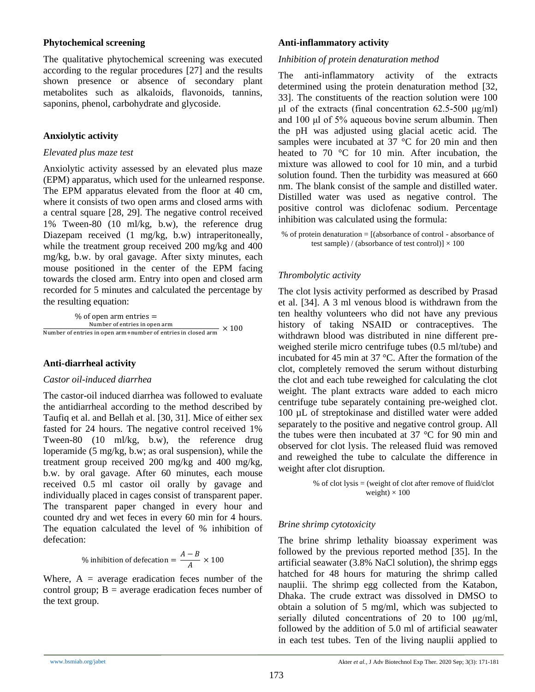## **Phytochemical screening**

The qualitative phytochemical screening was executed according to the regular procedures [27] and the results shown presence or absence of secondary plant metabolites such as alkaloids, flavonoids, tannins, saponins, phenol, carbohydrate and glycoside.

## **Anxiolytic activity**

#### *Elevated plus maze test*

Anxiolytic activity assessed by an elevated plus maze (EPM) apparatus, which used for the unlearned response. The EPM apparatus elevated from the floor at 40 cm, where it consists of two open arms and closed arms with a central square [28, 29]. The negative control received 1% Tween-80 (10 ml/kg, b.w), the reference drug Diazepam received (1 mg/kg, b.w) intraperitoneally, while the treatment group received 200 mg/kg and 400 mg/kg, b.w. by oral gavage. After sixty minutes, each mouse positioned in the center of the EPM facing towards the closed arm. Entry into open and closed arm recorded for 5 minutes and calculated the percentage by the resulting equation:

 $%$  of open arm entries  $=$ Number of entries in open arm Number of entries in open arm+number of entries in closed arm  $\times 100$ 

## **Anti-diarrheal activity**

### *Castor oil-induced diarrhea*

The castor-oil induced diarrhea was followed to evaluate the antidiarrheal according to the method described by Taufiq et al. and Bellah et al. [30, 31]. Mice of either sex fasted for 24 hours. The negative control received 1% Tween-80 (10 ml/kg, b.w), the reference drug loperamide (5 mg/kg, b.w; as oral suspension), while the treatment group received 200 mg/kg and 400 mg/kg, b.w. by oral gavage. After 60 minutes, each mouse received 0.5 ml castor oil orally by gavage and individually placed in cages consist of transparent paper. The transparent paper changed in every hour and counted dry and wet feces in every 60 min for 4 hours. The equation calculated the level of % inhibition of defecation:

% inhibition of defecation = 
$$
\frac{A-B}{A} \times 100
$$

Where,  $A = average$  eradication feces number of the control group;  $B =$  average eradication feces number of the text group.

## **Anti-inflammatory activity**

### *Inhibition of protein denaturation method*

The anti-inflammatory activity of the extracts determined using the protein denaturation method [32, 33]. The constituents of the reaction solution were 100 μl of the extracts (final concentration 62.5-500 μg/ml) and 100 μl of 5% aqueous bovine serum albumin. Then the pH was adjusted using glacial acetic acid. The samples were incubated at 37 °C for 20 min and then heated to 70 °C for 10 min. After incubation, the mixture was allowed to cool for 10 min, and a turbid solution found. Then the turbidity was measured at 660 nm. The blank consist of the sample and distilled water. Distilled water was used as negative control. The positive control was diclofenac sodium. Percentage inhibition was calculated using the formula:

% of protein denaturation = [(absorbance of control - absorbance of test sample) / (absorbance of test control)]  $\times$  100

## *Thrombolytic activity*

The clot lysis activity performed as described by Prasad et al. [34]. A 3 ml venous blood is withdrawn from the ten healthy volunteers who did not have any previous history of taking NSAID or contraceptives. The withdrawn blood was distributed in nine different preweighed sterile micro centrifuge tubes (0.5 ml/tube) and incubated for 45 min at 37 °C. After the formation of the clot, completely removed the serum without disturbing the clot and each tube reweighed for calculating the clot weight. The plant extracts ware added to each micro centrifuge tube separately containing pre-weighed clot. 100 µL of streptokinase and distilled water were added separately to the positive and negative control group. All the tubes were then incubated at 37 °C for 90 min and observed for clot lysis. The released fluid was removed and reweighed the tube to calculate the difference in weight after clot disruption.

> % of clot lysis = (weight of clot after remove of fluid/clot weight)  $\times$  100

## *Brine shrimp cytotoxicity*

The brine shrimp lethality bioassay experiment was followed by the previous reported method [35]. In the artificial seawater (3.8% NaCl solution), the shrimp eggs hatched for 48 hours for maturing the shrimp called nauplii. The shrimp egg collected from the Katabon, Dhaka. The crude extract was dissolved in DMSO to obtain a solution of 5 mg/ml, which was subjected to serially diluted concentrations of 20 to 100 μg/ml, followed by the addition of 5.0 ml of artificial seawater in each test tubes. Ten of the living nauplii applied to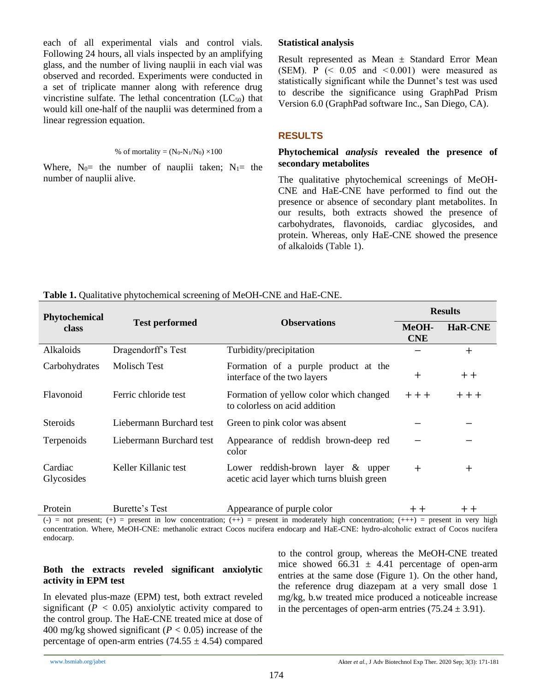each of all experimental vials and control vials. Following 24 hours, all vials inspected by an amplifying glass, and the number of living nauplii in each vial was observed and recorded. Experiments were conducted in a set of triplicate manner along with reference drug vincristine sulfate. The lethal concentration  $(LC_{50})$  that would kill one-half of the nauplii was determined from a linear regression equation.

#### % of mortality =  $(N_0-N_1/N_0) \times 100$

Where,  $N_0$ = the number of nauplii taken;  $N_1$ = the number of nauplii alive.

#### **Statistical analysis**

Result represented as Mean ± Standard Error Mean (SEM). P  $\approx 0.05$  and  $\approx 0.001$ ) were measured as statistically significant while the Dunnet's test was used to describe the significance using GraphPad Prism Version 6.0 (GraphPad software Inc., San Diego, CA).

## **RESULTS**

## **Phytochemical** *analysis* **revealed the presence of secondary metabolites**

The qualitative phytochemical screenings of MeOH-CNE and HaE-CNE have performed to find out the presence or absence of secondary plant metabolites. In our results, both extracts showed the presence of carbohydrates, flavonoids, cardiac glycosides, and protein. Whereas, only HaE-CNE showed the presence of alkaloids (Table 1).

|  |  |  | Table 1. Qualitative phytochemical screening of MeOH-CNE and HaE-CNE. |
|--|--|--|-----------------------------------------------------------------------|
|--|--|--|-----------------------------------------------------------------------|

| Phytochemical         |                          |                                                                                 | <b>Results</b>      |                |
|-----------------------|--------------------------|---------------------------------------------------------------------------------|---------------------|----------------|
| <b>class</b>          | <b>Test performed</b>    | <b>Observations</b>                                                             | MeOH-<br><b>CNE</b> | <b>HaR-CNE</b> |
| Alkaloids             | Dragendorff's Test       | Turbidity/precipitation                                                         |                     | $+$            |
| Carbohydrates         | Molisch Test             | Formation of a purple product at the<br>interface of the two layers             | $^{+}$              | $+ +$          |
| Flavonoid             | Ferric chloride test     | Formation of yellow color which changed<br>to colorless on acid addition        | $++$                | $++$ $+$       |
| <b>Steroids</b>       | Liebermann Burchard test | Green to pink color was absent                                                  |                     |                |
| Terpenoids            | Liebermann Burchard test | Appearance of reddish brown-deep red<br>color                                   |                     |                |
| Cardiac<br>Glycosides | Keller Killanic test     | Lower reddish-brown layer & upper<br>acetic acid layer which turns bluish green | $^{+}$              | $^{+}$         |
| Protein               | Burette's Test           | Appearance of purple color                                                      | $+ +$               | $+ +$          |

(-) = not present; (+) = present in low concentration; (++) = present in moderately high concentration; (+++) = present in very high concentration. Where, MeOH-CNE: methanolic extract Cocos nucifera endocarp and HaE-CNE: hydro-alcoholic extract of Cocos nucifera endocarp.

# **Both the extracts reveled significant anxiolytic activity in EPM test**

In elevated plus-maze (EPM) test, both extract reveled significant  $(P < 0.05)$  anxiolytic activity compared to the control group. The HaE-CNE treated mice at dose of 400 mg/kg showed significant (*P <* 0.05) increase of the percentage of open-arm entries  $(74.55 \pm 4.54)$  compared

to the control group, whereas the MeOH-CNE treated mice showed  $66.31 \pm 4.41$  percentage of open-arm entries at the same dose (Figure 1). On the other hand, the reference drug diazepam at a very small dose 1 mg/kg, b.w treated mice produced a noticeable increase in the percentages of open-arm entries  $(75.24 \pm 3.91)$ .

174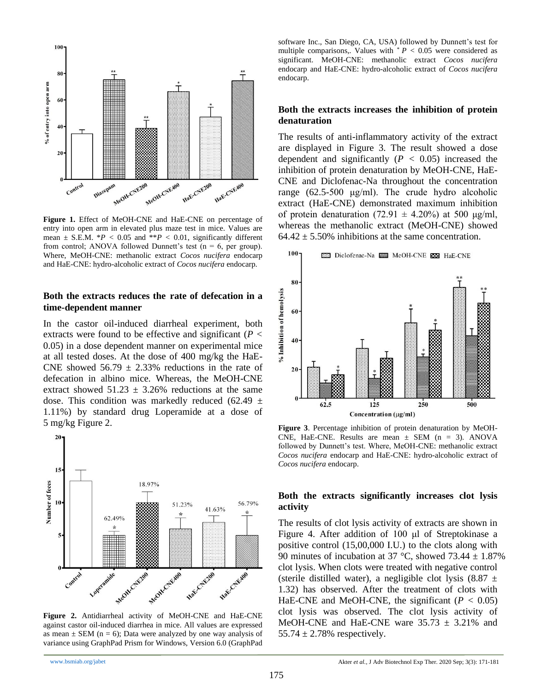

**Figure 1.** Effect of MeOH-CNE and HaE-CNE on percentage of entry into open arm in elevated plus maze test in mice. Values are mean  $\pm$  S.E.M.  $*P < 0.05$  and  $*P < 0.01$ , significantly different from control; ANOVA followed Dunnett's test ( $n = 6$ , per group). Where, MeOH-CNE: methanolic extract *Cocos nucifera* endocarp and HaE-CNE: hydro-alcoholic extract of *Cocos nucifera* endocarp.

#### **Both the extracts reduces the rate of defecation in a time-dependent manner**

In the castor oil-induced diarrheal experiment, both extracts were found to be effective and significant (*P <* 0.05) in a dose dependent manner on experimental mice at all tested doses. At the dose of 400 mg/kg the HaE-CNE showed  $56.79 \pm 2.33\%$  reductions in the rate of defecation in albino mice. Whereas, the MeOH-CNE extract showed  $51.23 \pm 3.26\%$  reductions at the same dose. This condition was markedly reduced (62.49  $\pm$ 1.11%) by standard drug Loperamide at a dose of 5 mg/kg Figure 2.



**Figure 2.** Antidiarrheal activity of MeOH-CNE and HaE-CNE against castor oil-induced diarrhea in mice. All values are expressed as mean  $\pm$  SEM (n = 6); Data were analyzed by one way analysis of variance using GraphPad Prism for Windows, Version 6.0 (GraphPad

software Inc., San Diego, CA, USA) followed by Dunnett's test for multiple comparisons,. Values with  $P < 0.05$  were considered as significant. MeOH-CNE: methanolic extract *Cocos nucifera*  endocarp and HaE-CNE: hydro-alcoholic extract of *Cocos nucifera*  endocarp.

#### **Both the extracts increases the inhibition of protein denaturation**

The results of anti-inflammatory activity of the extract are displayed in Figure 3. The result showed a dose dependent and significantly (*P <* 0.05) increased the inhibition of protein denaturation by MeOH-CNE, HaE-CNE and Diclofenac-Na throughout the concentration range (62.5-500 μg/ml). The crude hydro alcoholic extract (HaE-CNE) demonstrated maximum inhibition of protein denaturation (72.91  $\pm$  4.20%) at 500 μg/ml, whereas the methanolic extract (MeOH-CNE) showed  $64.42 \pm 5.50\%$  inhibitions at the same concentration.



**Figure 3**. Percentage inhibition of protein denaturation by MeOH-CNE, HaE-CNE. Results are mean  $\pm$  SEM (n = 3). ANOVA followed by Dunnett's test. Where, MeOH-CNE: methanolic extract *Cocos nucifera* endocarp and HaE-CNE: hydro-alcoholic extract of *Cocos nucifera* endocarp.

#### **Both the extracts significantly increases clot lysis activity**

The results of clot lysis activity of extracts are shown in Figure 4. After addition of 100 μl of Streptokinase a positive control (15,00,000 I.U.) to the clots along with 90 minutes of incubation at 37 °C, showed 73.44  $\pm$  1.87% clot lysis. When clots were treated with negative control (sterile distilled water), a negligible clot lysis  $(8.87 \pm$ 1.32) has observed. After the treatment of clots with HaE-CNE and MeOH-CNE, the significant (*P <* 0.05) clot lysis was observed. The clot lysis activity of MeOH-CNE and HaE-CNE ware  $35.73 \pm 3.21\%$  and 55.74  $\pm$  2.78% respectively.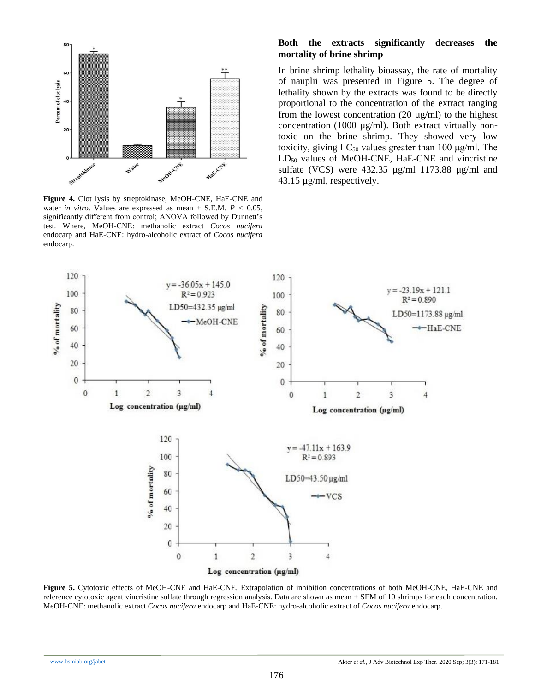

**Figure 4.** Clot lysis by streptokinase, MeOH-CNE, HaE-CNE and water *in vitro*. Values are expressed as mean  $\pm$  S.E.M.  $P < 0.05$ , significantly different from control; ANOVA followed by Dunnett's test. Where, MeOH-CNE: methanolic extract *Cocos nucifera*  endocarp and HaE-CNE: hydro-alcoholic extract of *Cocos nucifera*  endocarp.

## **Both the extracts significantly decreases the mortality of brine shrimp**

In brine shrimp lethality bioassay, the rate of mortality of nauplii was presented in Figure 5. The degree of lethality shown by the extracts was found to be directly proportional to the concentration of the extract ranging from the lowest concentration  $(20 \mu g/ml)$  to the highest concentration (1000  $\mu$ g/ml). Both extract virtually nontoxic on the brine shrimp. They showed very low toxicity, giving  $LC_{50}$  values greater than 100  $\mu$ g/ml. The LD<sub>50</sub> values of MeOH-CNE, HaE-CNE and vincristine sulfate (VCS) were 432.35 µg/ml 1173.88 µg/ml and 43.15 µg/ml, respectively.



**Figure 5.** Cytotoxic effects of MeOH-CNE and HaE-CNE. Extrapolation of inhibition concentrations of both MeOH-CNE, HaE-CNE and reference cytotoxic agent vincristine sulfate through regression analysis. Data are shown as mean  $\pm$  SEM of 10 shrimps for each concentration. MeOH-CNE: methanolic extract *Cocos nucifera* endocarp and HaE-CNE: hydro-alcoholic extract of *Cocos nucifera* endocarp.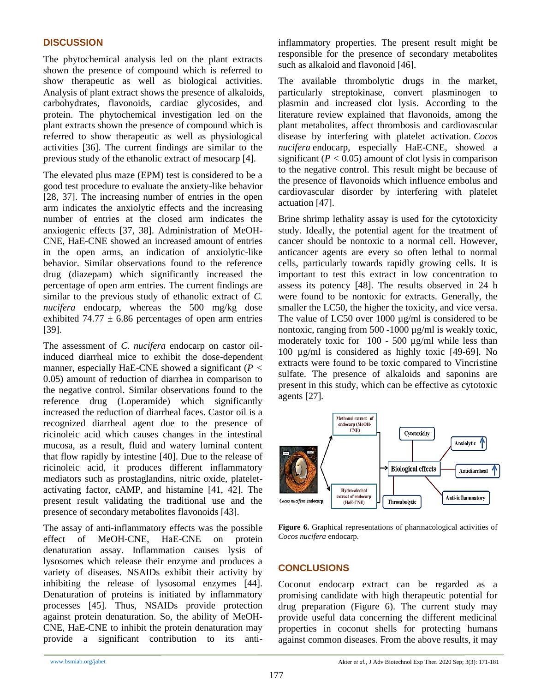## **DISCUSSION**

The phytochemical analysis led on the plant extracts shown the presence of compound which is referred to show therapeutic as well as biological activities. Analysis of plant extract shows the presence of alkaloids, carbohydrates, flavonoids, cardiac glycosides, and protein. The phytochemical investigation led on the plant extracts shown the presence of compound which is referred to show therapeutic as well as physiological activities [36]. The current findings are similar to the previous study of the ethanolic extract of mesocarp [4].

The elevated plus maze (EPM) test is considered to be a good test procedure to evaluate the anxiety-like behavior [28, 37]. The increasing number of entries in the open arm indicates the anxiolytic effects and the increasing number of entries at the closed arm indicates the anxiogenic effects [37, 38]. Administration of MeOH-CNE, HaE-CNE showed an increased amount of entries in the open arms, an indication of anxiolytic-like behavior. Similar observations found to the reference drug (diazepam) which significantly increased the percentage of open arm entries. The current findings are similar to the previous study of ethanolic extract of *C. nucifera* endocarp, whereas the 500 mg/kg dose exhibited 74.77  $\pm$  6.86 percentages of open arm entries [39].

The assessment of *C. nucifera* endocarp on castor oilinduced diarrheal mice to exhibit the dose-dependent manner, especially HaE-CNE showed a significant (*P <* 0.05) amount of reduction of diarrhea in comparison to the negative control. Similar observations found to the reference drug (Loperamide) which significantly increased the reduction of diarrheal faces. Castor oil is a recognized diarrheal agent due to the presence of ricinoleic acid which causes changes in the intestinal mucosa, as a result, fluid and watery luminal content that flow rapidly by intestine [40]. Due to the release of ricinoleic acid, it produces different inflammatory mediators such as prostaglandins, nitric oxide, plateletactivating factor, cAMP, and histamine [41, 42]. The present result validating the traditional use and the presence of secondary metabolites flavonoids [43].

The assay of anti-inflammatory effects was the possible effect of MeOH-CNE, HaE-CNE on protein denaturation assay. Inflammation causes lysis of lysosomes which release their enzyme and produces a variety of diseases. NSAIDs exhibit their activity by inhibiting the release of lysosomal enzymes [44]. Denaturation of proteins is initiated by inflammatory processes [45]. Thus, NSAIDs provide protection against protein denaturation. So, the ability of MeOH-CNE, HaE-CNE to inhibit the protein denaturation may provide a significant contribution to its antiinflammatory properties. The present result might be responsible for the presence of secondary metabolites such as alkaloid and flavonoid [46].

The available thrombolytic drugs in the market, particularly streptokinase, convert plasminogen to plasmin and increased clot lysis. According to the literature review explained that flavonoids, among the plant metabolites, affect thrombosis and cardiovascular disease by interfering with platelet activation. *Cocos nucifera* endocarp, especially HaE-CNE, showed a significant  $(P < 0.05)$  amount of clot lysis in comparison to the negative control. This result might be because of the presence of flavonoids which influence embolus and cardiovascular disorder by interfering with platelet actuation [47].

Brine shrimp lethality assay is used for the cytotoxicity study. Ideally, the potential agent for the treatment of cancer should be nontoxic to a normal cell. However, anticancer agents are every so often lethal to normal cells, particularly towards rapidly growing cells. It is important to test this extract in low concentration to assess its potency [48]. The results observed in 24 h were found to be nontoxic for extracts. Generally, the smaller the LC50, the higher the toxicity, and vice versa. The value of LC50 over 1000  $\mu$ g/ml is considered to be nontoxic, ranging from 500 -1000  $\mu$ g/ml is weakly toxic, moderately toxic for 100 - 500 µg/ml while less than 100 µg/ml is considered as highly toxic [49-69]. No extracts were found to be toxic compared to Vincristine sulfate. The presence of alkaloids and saponins are present in this study, which can be effective as cytotoxic agents [27]*.*



**Figure 6.** Graphical representations of pharmacological activities of *Cocos nucifera* endocarp.

# **CONCLUSIONS**

Coconut endocarp extract can be regarded as a promising candidate with high therapeutic potential for drug preparation (Figure 6). The current study may provide useful data concerning the different medicinal properties in coconut shells for protecting humans against common diseases. From the above results, it may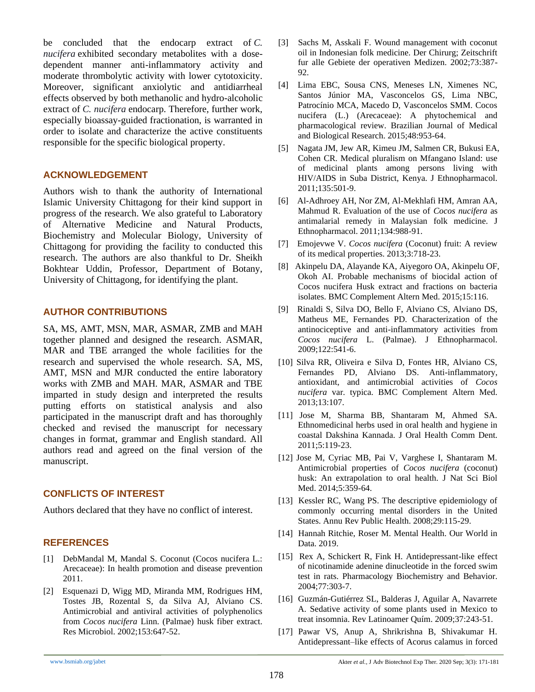be concluded that the endocarp extract of *C. nucifera* exhibited secondary metabolites with a dosedependent manner anti-inflammatory activity and moderate thrombolytic activity with lower cytotoxicity. Moreover, significant anxiolytic and antidiarrheal effects observed by both methanolic and hydro-alcoholic extract of *C. nucifera* endocarp. Therefore, further work, especially bioassay-guided fractionation, is warranted in order to isolate and characterize the active constituents responsible for the specific biological property.

## **ACKNOWLEDGEMENT**

Authors wish to thank the authority of International Islamic University Chittagong for their kind support in progress of the research. We also grateful to Laboratory of Alternative Medicine and Natural Products, Biochemistry and Molecular Biology, University of Chittagong for providing the facility to conducted this research. The authors are also thankful to Dr. Sheikh Bokhtear Uddin, Professor, Department of Botany, University of Chittagong, for identifying the plant.

## **AUTHOR CONTRIBUTIONS**

SA, MS, AMT, MSN, MAR, ASMAR, ZMB and MAH together planned and designed the research. ASMAR, MAR and TBE arranged the whole facilities for the research and supervised the whole research. SA, MS, AMT, MSN and MJR conducted the entire laboratory works with ZMB and MAH. MAR, ASMAR and TBE imparted in study design and interpreted the results putting efforts on statistical analysis and also participated in the manuscript draft and has thoroughly checked and revised the manuscript for necessary changes in format, grammar and English standard. All authors read and agreed on the final version of the manuscript.

## **CONFLICTS OF INTEREST**

Authors declared that they have no conflict of interest.

## **REFERENCES**

- [1] DebMandal M, Mandal S. Coconut (Cocos nucifera L.: Arecaceae): In health promotion and disease prevention 2011.
- [2] Esquenazi D, Wigg MD, Miranda MM, Rodrigues HM, Tostes JB, Rozental S, da Silva AJ, Alviano CS. Antimicrobial and antiviral activities of polyphenolics from *Cocos nucifera* Linn. (Palmae) husk fiber extract. Res Microbiol. 2002;153:647-52.
- [3] Sachs M, Asskali F. Wound management with coconut oil in Indonesian folk medicine. Der Chirurg; Zeitschrift fur alle Gebiete der operativen Medizen. 2002;73:387- 92.
- [4] Lima EBC, Sousa CNS, Meneses LN, Ximenes NC, Santos Júnior MA, Vasconcelos GS, Lima NBC, Patrocínio MCA, Macedo D, Vasconcelos SMM. Cocos nucifera (L.) (Arecaceae): A phytochemical and pharmacological review. Brazilian Journal of Medical and Biological Research. 2015;48:953-64.
- [5] Nagata JM, Jew AR, Kimeu JM, Salmen CR, Bukusi EA, Cohen CR. Medical pluralism on Mfangano Island: use of medicinal plants among persons living with HIV/AIDS in Suba District, Kenya. J Ethnopharmacol. 2011;135:501-9.
- [6] Al-Adhroey AH, Nor ZM, Al-Mekhlafi HM, Amran AA, Mahmud R. Evaluation of the use of *Cocos nucifera* as antimalarial remedy in Malaysian folk medicine. J Ethnopharmacol. 2011;134:988-91.
- [7] Emojevwe V. *Cocos nucifera* (Coconut) fruit: A review of its medical properties. 2013;3:718-23.
- [8] Akinpelu DA, Alayande KA, Aiyegoro OA, Akinpelu OF, Okoh AI. Probable mechanisms of biocidal action of Cocos nucifera Husk extract and fractions on bacteria isolates. BMC Complement Altern Med. 2015;15:116.
- [9] Rinaldi S, Silva DO, Bello F, Alviano CS, Alviano DS, Matheus ME, Fernandes PD. Characterization of the antinociceptive and anti-inflammatory activities from *Cocos nucifera* L. (Palmae). J Ethnopharmacol. 2009;122:541-6.
- [10] Silva RR, Oliveira e Silva D, Fontes HR, Alviano CS, Fernandes PD, Alviano DS. Anti-inflammatory, antioxidant, and antimicrobial activities of *Cocos nucifera* var. typica. BMC Complement Altern Med. 2013;13:107.
- [11] Jose M, Sharma BB, Shantaram M, Ahmed SA. Ethnomedicinal herbs used in oral health and hygiene in coastal Dakshina Kannada. J Oral Health Comm Dent. 2011;5:119-23.
- [12] Jose M, Cyriac MB, Pai V, Varghese I, Shantaram M. Antimicrobial properties of *Cocos nucifera* (coconut) husk: An extrapolation to oral health. J Nat Sci Biol Med. 2014;5:359-64.
- [13] Kessler RC, Wang PS. The descriptive epidemiology of commonly occurring mental disorders in the United States. Annu Rev Public Health. 2008;29:115-29.
- [14] Hannah Ritchie, Roser M. Mental Health. Our World in Data. 2019.
- [15] Rex A, Schickert R, Fink H. Antidepressant-like effect of nicotinamide adenine dinucleotide in the forced swim test in rats. Pharmacology Biochemistry and Behavior. 2004;77:303-7.
- [16] Guzmán-Gutiérrez SL, Balderas J, Aguilar A, Navarrete A. Sedative activity of some plants used in Mexico to treat insomnia. Rev Latinoamer Quím. 2009;37:243-51.
- [17] Pawar VS, Anup A, Shrikrishna B, Shivakumar H. Antidepressant–like effects of Acorus calamus in forced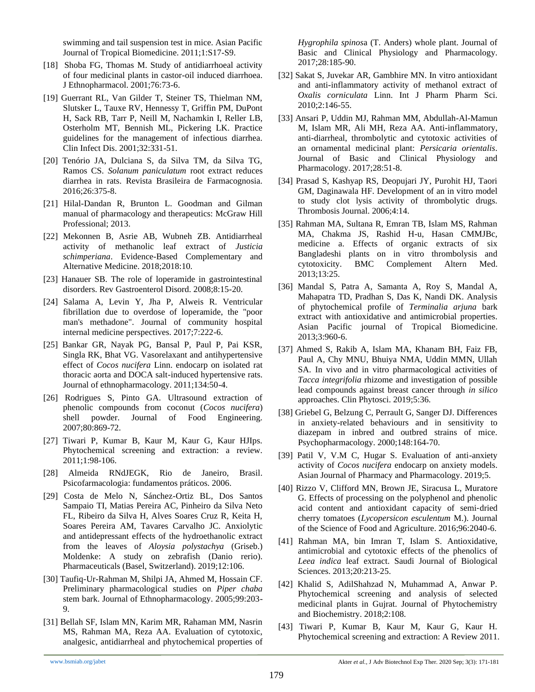swimming and tail suspension test in mice. Asian Pacific Journal of Tropical Biomedicine. 2011;1:S17-S9.

- [18] Shoba FG, Thomas M. Study of antidiarrhoeal activity of four medicinal plants in castor-oil induced diarrhoea. J Ethnopharmacol. 2001;76:73-6.
- [19] Guerrant RL, Van Gilder T, Steiner TS, Thielman NM, Slutsker L, Tauxe RV, Hennessy T, Griffin PM, DuPont H, Sack RB, Tarr P, Neill M, Nachamkin I, Reller LB, Osterholm MT, Bennish ML, Pickering LK. Practice guidelines for the management of infectious diarrhea. Clin Infect Dis. 2001;32:331-51.
- [20] Tenório JA, Dulciana S, da Silva TM, da Silva TG, Ramos CS. *Solanum paniculatum* root extract reduces diarrhea in rats. Revista Brasileira de Farmacognosia. 2016;26:375-8.
- [21] Hilal-Dandan R, Brunton L. Goodman and Gilman manual of pharmacology and therapeutics: McGraw Hill Professional; 2013.
- [22] Mekonnen B, Asrie AB, Wubneh ZB. Antidiarrheal activity of methanolic leaf extract of *Justicia schimperiana*. Evidence-Based Complementary and Alternative Medicine. 2018;2018:10.
- [23] Hanauer SB. The role of loperamide in gastrointestinal disorders. Rev Gastroenterol Disord. 2008;8:15-20.
- [24] Salama A, Levin Y, Jha P, Alweis R. Ventricular fibrillation due to overdose of loperamide, the "poor man's methadone". Journal of community hospital internal medicine perspectives. 2017;7:222-6.
- [25] Bankar GR, Nayak PG, Bansal P, Paul P, Pai KSR, Singla RK, Bhat VG. Vasorelaxant and antihypertensive effect of *Cocos nucifera* Linn. endocarp on isolated rat thoracic aorta and DOCA salt-induced hypertensive rats. Journal of ethnopharmacology. 2011;134:50-4.
- [26] Rodrigues S, Pinto GA. Ultrasound extraction of phenolic compounds from coconut (*Cocos nucifera*) shell powder. Journal of Food Engineering. 2007;80:869-72.
- [27] Tiwari P, Kumar B, Kaur M, Kaur G, Kaur HJIps. Phytochemical screening and extraction: a review. 2011;1:98-106.
- [28] Almeida RNdJEGK, Rio de Janeiro, Brasil. Psicofarmacologia: fundamentos práticos. 2006.
- [29] Costa de Melo N, Sánchez-Ortiz BL, Dos Santos Sampaio TI, Matias Pereira AC, Pinheiro da Silva Neto FL, Ribeiro da Silva H, Alves Soares Cruz R, Keita H, Soares Pereira AM, Tavares Carvalho JC. Anxiolytic and antidepressant effects of the hydroethanolic extract from the leaves of *Aloysia polystachya* (Griseb.) Moldenke: A study on zebrafish (Danio rerio). Pharmaceuticals (Basel, Switzerland). 2019;12:106.
- [30] Taufiq-Ur-Rahman M, Shilpi JA, Ahmed M, Hossain CF. Preliminary pharmacological studies on *Piper chaba* stem bark. Journal of Ethnopharmacology. 2005;99:203- 9.
- [31] Bellah SF, Islam MN, Karim MR, Rahaman MM, Nasrin MS, Rahman MA, Reza AA. Evaluation of cytotoxic, analgesic, antidiarrheal and phytochemical properties of

*Hygrophila spinos*a (T. Anders) whole plant. Journal of Basic and Clinical Physiology and Pharmacology. 2017;28:185-90.

- [32] Sakat S, Juvekar AR, Gambhire MN. In vitro antioxidant and anti-inflammatory activity of methanol extract of *Oxalis corniculata* Linn. Int J Pharm Pharm Sci. 2010;2:146-55.
- [33] Ansari P, Uddin MJ, Rahman MM, Abdullah-Al-Mamun M, Islam MR, Ali MH, Reza AA. Anti-inflammatory, anti-diarrheal, thrombolytic and cytotoxic activities of an ornamental medicinal plant: *Persicaria orientalis*. Journal of Basic and Clinical Physiology and Pharmacology. 2017;28:51-8.
- [34] Prasad S, Kashyap RS, Deopujari JY, Purohit HJ, Taori GM, Daginawala HF. Development of an in vitro model to study clot lysis activity of thrombolytic drugs. Thrombosis Journal. 2006;4:14.
- [35] Rahman MA, Sultana R, Emran TB, Islam MS, Rahman MA, Chakma JS, Rashid H-u, Hasan CMMJBc, medicine a. Effects of organic extracts of six Bangladeshi plants on in vitro thrombolysis and cytotoxicity. BMC Complement Altern Med. 2013;13:25.
- [36] Mandal S, Patra A, Samanta A, Roy S, Mandal A, Mahapatra TD, Pradhan S, Das K, Nandi DK. Analysis of phytochemical profile of *Terminalia arjuna* bark extract with antioxidative and antimicrobial properties. Asian Pacific journal of Tropical Biomedicine. 2013;3:960-6.
- [37] Ahmed S, Rakib A, Islam MA, Khanam BH, Faiz FB, Paul A, Chy MNU, Bhuiya NMA, Uddin MMN, Ullah SA. In vivo and in vitro pharmacological activities of *Tacca integrifolia* rhizome and investigation of possible lead compounds against breast cancer through *in silico* approaches. Clin Phytosci. 2019;5:36.
- [38] Griebel G, Belzung C, Perrault G, Sanger DJ. Differences in anxiety-related behaviours and in sensitivity to diazepam in inbred and outbred strains of mice. Psychopharmacology. 2000;148:164-70.
- [39] Patil V, V.M C, Hugar S. Evaluation of anti-anxiety activity of *Cocos nucifera* endocarp on anxiety models. Asian Journal of Pharmacy and Pharmacology. 2019;5.
- [40] Rizzo V, Clifford MN, Brown JE, Siracusa L, Muratore G. Effects of processing on the polyphenol and phenolic acid content and antioxidant capacity of semi‐dried cherry tomatoes (*Lycopersicon esculentum* M.). Journal of the Science of Food and Agriculture. 2016;96:2040-6.
- [41] Rahman MA, bin Imran T, Islam S. Antioxidative, antimicrobial and cytotoxic effects of the phenolics of *Leea indica* leaf extract. Saudi Journal of Biological Sciences. 2013;20:213-25.
- [42] Khalid S, AdilShahzad N, Muhammad A, Anwar P. Phytochemical screening and analysis of selected medicinal plants in Gujrat. Journal of Phytochemistry and Biochemistry. 2018;2:108.
- [43] Tiwari P, Kumar B, Kaur M, Kaur G, Kaur H. Phytochemical screening and extraction: A Review 2011.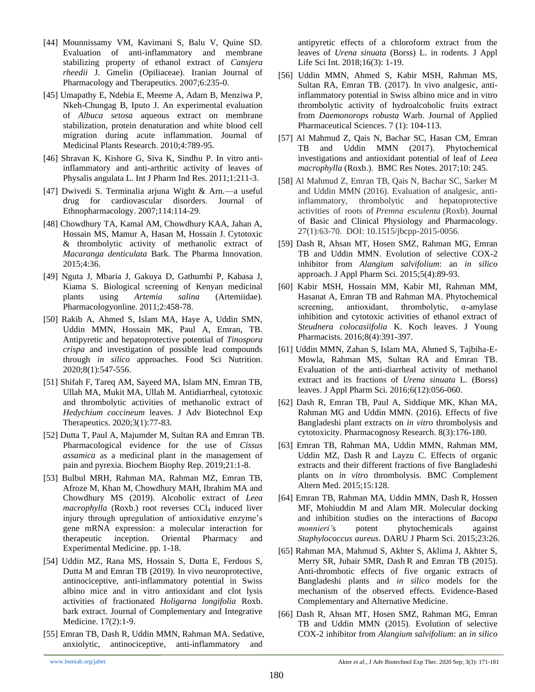- [44] Mounnissamy VM, Kavimani S, Balu V, Quine SD. Evaluation of anti-inflammatory and membrane stabilizing property of ethanol extract of *Cansjera rheedii* J. Gmelin (Opiliaceae). Iranian Journal of Pharmacology and Therapeutics. 2007;6:235-0.
- [45] Umapathy E, Ndebia E, Meeme A, Adam B, Menziwa P, Nkeh-Chungag B, Iputo J. An experimental evaluation of *Albuca setosa* aqueous extract on membrane stabilization, protein denaturation and white blood cell migration during acute inflammation. Journal of Medicinal Plants Research. 2010;4:789-95.
- [46] Shravan K, Kishore G, Siva K, Sindhu P. In vitro antiinflammatory and anti-arthritic activity of leaves of Physalis angulata L. Int J Pharm Ind Res. 2011;1:211-3.
- [47] Dwivedi S. Terminalia arjuna Wight & Arn.—a useful drug for cardiovascular disorders. Journal of Ethnopharmacology. 2007;114:114-29.
- [48] Chowdhury TA, Kamal AM, Chowdhury KAA, Jahan A, Hossain MS, Mamur A, Hasan M, Hossain J. Cytotoxic & thrombolytic activity of methanolic extract of *Macaranga denticulata* Bark. The Pharma Innovation. 2015;4:36.
- [49] Nguta J, Mbaria J, Gakuya D, Gathumbi P, Kabasa J, Kiama S. Biological screening of Kenyan medicinal plants using *Artemia salina* (Artemiidae). Pharmacologyonline. 2011;2:458-78.
- [50] Rakib A, Ahmed S, Islam MA, Haye A, Uddin SMN, Uddin MMN, Hossain MK, Paul A, Emran, TB. Antipyretic and hepatoprotective potential of *Tinospora crispa* and investigation of possible lead compounds through *in silico* approaches. Food Sci Nutrition. 2020;8(1):547-556.
- [51] Shifah F, Tareq AM, Sayeed MA, Islam MN, Emran TB, Ullah MA, Mukit MA, Ullah M. Antidiarrheal, cytotoxic and thrombolytic activities of methanolic extract of *Hedychium coccineum* leaves. J Adv Biotechnol Exp Therapeutics. 2020;3(1):77-83.
- [52] Dutta T, Paul A, Majumder M, Sultan RA and Emran TB. Pharmacological evidence for the use of *Cissus assamica* as a medicinal plant in the management of pain and pyrexia. Biochem Biophy Rep. 2019;21:1-8.
- [53] Bulbul MRH, Rahman MA, Rahman MZ, Emran TB, Afroze M, Khan M, Chowdhury MAH, Ibrahim MA and Chowdhury MS (2019). Alcoholic extract of *Leea macrophylla* (Roxb.) root reverses CCl<sub>4</sub> induced liver injury through upregulation of antioxidative enzyme's gene mRNA expression: a molecular interaction for therapeutic inception. Oriental Pharmacy and Experimental Medicine. pp. 1-18.
- [54] Uddin MZ, Rana MS, Hossain S, Dutta E, Ferdous S, Dutta M and Emran TB (2019). In vivo neuroprotective, antinociceptive, anti-inflammatory potential in Swiss albino mice and in vitro antioxidant and clot lysis activities of fractionated *Holigarna longifolia* Roxb. bark extract. Journal of Complementary and Integrative Medicine. 17(2):1-9.
- [55] Emran TB, Dash R, Uddin MMN, Rahman MA. Sedative, anxiolytic, antinociceptive, anti-inflammatory and

antipyretic effects of a chloroform extract from the leaves of *Urena sinuata* (Borss) L. in rodents. J Appl Life Sci Int. 2018;16(3): 1-19.

- [56] Uddin MMN, Ahmed S, Kabir MSH, Rahman MS, Sultan RA, Emran TB. (2017). In vivo analgesic, antiinflammatory potential in Swiss albino mice and in vitro thrombolytic activity of hydroalcoholic fruits extract from *Daemonorops robusta* Warb. Journal of Applied Pharmaceutical Sciences. 7 (1): 104-113.
- [57] Al Mahmud Z, Qais N, Bachar SC, Hasan CM, Emran TB and Uddin MMN (2017). Phytochemical investigations and antioxidant potential of leaf of *Leea macrophylla* (Roxb.). BMC Res Notes. 2017;10: 245.
- [58] Al Mahmud Z, Emran TB, Qais N, Bachar SC, Sarker M and Uddin MMN (2016). Evaluation of analgesic, antiinflammatory, thrombolytic and hepatoprotective activities of roots of *Premna esculenta* (Roxb). Journal of Basic and Clinical Physiology and Pharmacology. 27(1):63-70. DOI: 10.1515/jbcpp-2015-0056.
- [59] Dash R, Ahsan MT, Hosen SMZ, Rahman MG, Emran TB and Uddin MMN. Evolution of selective COX-2 inhibitor from *Alangium salvifolium*: an *in silico* approach. J Appl Pharm Sci. 2015;5(4):89-93.
- [60] Kabir MSH, Hossain MM, Kabir MI, Rahman MM, Hasanat A, Emran TB and Rahman MA. Phytochemical screening, antioxidant, thrombolytic, α-amylase inhibition and cytotoxic activities of ethanol extract of *Steudnera colocasiifolia* K. Koch leaves. J Young Pharmacists. 2016;8(4):391-397.
- [61] Uddin MMN, Zahan S, Islam MA, Ahmed S, Tajbiha-E-Mowla, Rahman MS, Sultan RA and Emran TB. Evaluation of the anti-diarrheal activity of methanol extract and its fractions of *Urena sinuata* L. (Borss) leaves. J Appl Pharm Sci. 2016;6(12):056-060.
- [62] Dash R, Emran TB, Paul A, Siddique MK, Khan MA, Rahman MG and Uddin MMN. (2016). Effects of five Bangladeshi plant extracts on *in vitro* thrombolysis and cytotoxicity. Pharmacognosy Research. 8(3):176-180.
- [63] Emran TB, Rahman MA, Uddin MMN, Rahman MM, Uddin MZ, Dash R and Layzu C. Effects of organic extracts and their different fractions of five Bangladeshi plants on *in vitro* thrombolysis. BMC Complement Altern Med. 2015;15:128.
- [64] Emran TB, Rahman MA, Uddin MMN, Dash R, Hossen MF, Mohiuddin M and Alam MR. Molecular docking and inhibition studies on the interactions of *Bacopa monnieri'*s potent phytochemicals against *Staphylococcus aureus*. DARU J Pharm Sci. 2015;23:26.
- [65] Rahman MA, Mahmud S, Akhter S, Aklima J, Akhter S, Merry SR, Jubair SMR, Dash R and Emran TB (2015). Anti-thrombotic effects of five organic extracts of Bangladeshi plants and *in silico* models for the mechanism of the observed effects. Evidence-Based Complementary and Alternative Medicine.
- [66] Dash R, Ahsan MT, Hosen SMZ, Rahman MG, Emran TB and Uddin MMN (2015). Evolution of selective COX-2 inhibitor from *Alangium salvifolium*: an *in silico*